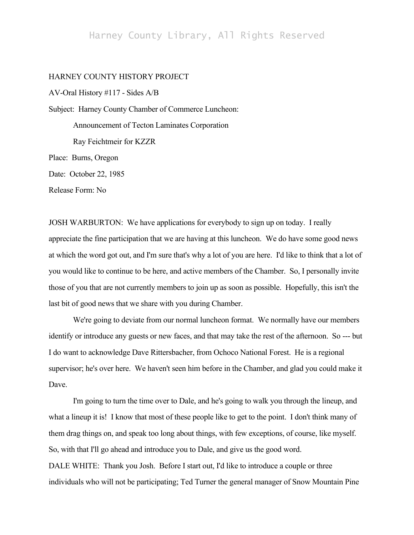## Harney County Library, All Rights Reserved

## HARNEY COUNTY HISTORY PROJECT

AV-Oral History #117 - Sides A/B Subject: Harney County Chamber of Commerce Luncheon: Announcement of Tecton Laminates Corporation Ray Feichtmeir for KZZR Place: Burns, Oregon

Date: October 22, 1985

Release Form: No

JOSH WARBURTON: We have applications for everybody to sign up on today. I really appreciate the fine participation that we are having at this luncheon. We do have some good news at which the word got out, and I'm sure that's why a lot of you are here. I'd like to think that a lot of you would like to continue to be here, and active members of the Chamber. So, I personally invite those of you that are not currently members to join up as soon as possible. Hopefully, this isn't the last bit of good news that we share with you during Chamber.

We're going to deviate from our normal luncheon format. We normally have our members identify or introduce any guests or new faces, and that may take the rest of the afternoon. So --- but I do want to acknowledge Dave Rittersbacher, from Ochoco National Forest. He is a regional supervisor; he's over here. We haven't seen him before in the Chamber, and glad you could make it Dave.

I'm going to turn the time over to Dale, and he's going to walk you through the lineup, and what a lineup it is! I know that most of these people like to get to the point. I don't think many of them drag things on, and speak too long about things, with few exceptions, of course, like myself. So, with that I'll go ahead and introduce you to Dale, and give us the good word. DALE WHITE: Thank you Josh. Before I start out, I'd like to introduce a couple or three

individuals who will not be participating; Ted Turner the general manager of Snow Mountain Pine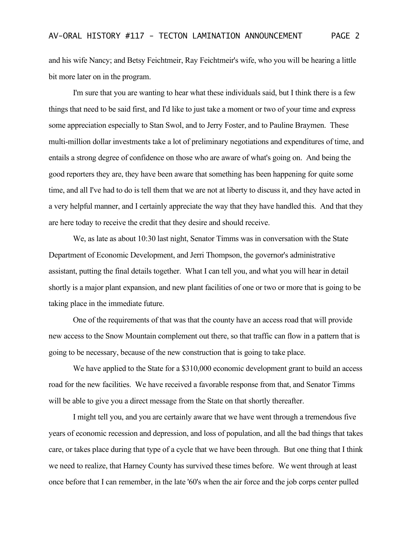and his wife Nancy; and Betsy Feichtmeir, Ray Feichtmeir's wife, who you will be hearing a little bit more later on in the program.

I'm sure that you are wanting to hear what these individuals said, but I think there is a few things that need to be said first, and I'd like to just take a moment or two of your time and express some appreciation especially to Stan Swol, and to Jerry Foster, and to Pauline Braymen. These multi-million dollar investments take a lot of preliminary negotiations and expenditures of time, and entails a strong degree of confidence on those who are aware of what's going on. And being the good reporters they are, they have been aware that something has been happening for quite some time, and all I've had to do is tell them that we are not at liberty to discuss it, and they have acted in a very helpful manner, and I certainly appreciate the way that they have handled this. And that they are here today to receive the credit that they desire and should receive.

We, as late as about 10:30 last night, Senator Timms was in conversation with the State Department of Economic Development, and Jerri Thompson, the governor's administrative assistant, putting the final details together. What I can tell you, and what you will hear in detail shortly is a major plant expansion, and new plant facilities of one or two or more that is going to be taking place in the immediate future.

One of the requirements of that was that the county have an access road that will provide new access to the Snow Mountain complement out there, so that traffic can flow in a pattern that is going to be necessary, because of the new construction that is going to take place.

We have applied to the State for a \$310,000 economic development grant to build an access road for the new facilities. We have received a favorable response from that, and Senator Timms will be able to give you a direct message from the State on that shortly thereafter.

I might tell you, and you are certainly aware that we have went through a tremendous five years of economic recession and depression, and loss of population, and all the bad things that takes care, or takes place during that type of a cycle that we have been through. But one thing that I think we need to realize, that Harney County has survived these times before. We went through at least once before that I can remember, in the late '60's when the air force and the job corps center pulled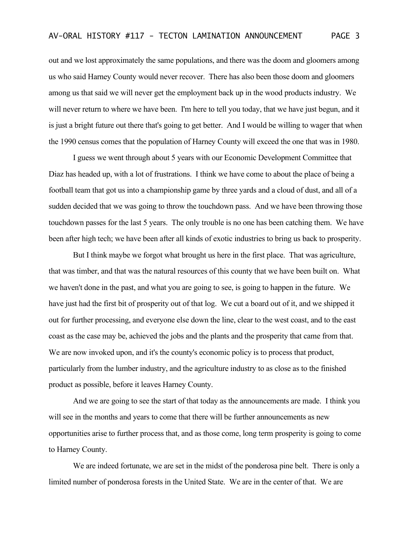out and we lost approximately the same populations, and there was the doom and gloomers among us who said Harney County would never recover. There has also been those doom and gloomers among us that said we will never get the employment back up in the wood products industry. We will never return to where we have been. I'm here to tell you today, that we have just begun, and it is just a bright future out there that's going to get better. And I would be willing to wager that when the 1990 census comes that the population of Harney County will exceed the one that was in 1980.

I guess we went through about 5 years with our Economic Development Committee that Diaz has headed up, with a lot of frustrations. I think we have come to about the place of being a football team that got us into a championship game by three yards and a cloud of dust, and all of a sudden decided that we was going to throw the touchdown pass. And we have been throwing those touchdown passes for the last 5 years. The only trouble is no one has been catching them. We have been after high tech; we have been after all kinds of exotic industries to bring us back to prosperity.

But I think maybe we forgot what brought us here in the first place. That was agriculture, that was timber, and that was the natural resources of this county that we have been built on. What we haven't done in the past, and what you are going to see, is going to happen in the future. We have just had the first bit of prosperity out of that log. We cut a board out of it, and we shipped it out for further processing, and everyone else down the line, clear to the west coast, and to the east coast as the case may be, achieved the jobs and the plants and the prosperity that came from that. We are now invoked upon, and it's the county's economic policy is to process that product, particularly from the lumber industry, and the agriculture industry to as close as to the finished product as possible, before it leaves Harney County.

And we are going to see the start of that today as the announcements are made. I think you will see in the months and years to come that there will be further announcements as new opportunities arise to further process that, and as those come, long term prosperity is going to come to Harney County.

We are indeed fortunate, we are set in the midst of the ponderosa pine belt. There is only a limited number of ponderosa forests in the United State. We are in the center of that. We are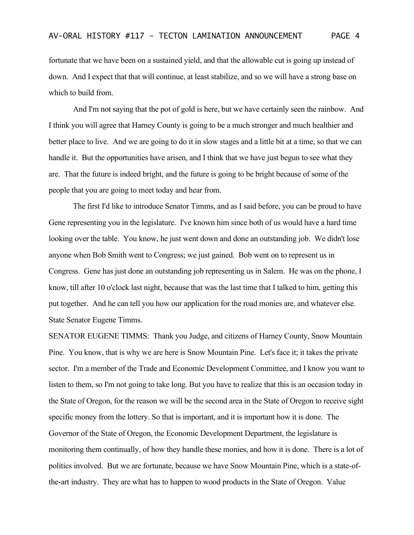fortunate that we have been on a sustained yield, and that the allowable cut is going up instead of down. And I expect that that will continue, at least stabilize, and so we will have a strong base on which to build from.

And I'm not saying that the pot of gold is here, but we have certainly seen the rainbow. And I think you will agree that Harney County is going to be a much stronger and much healthier and better place to live. And we are going to do it in slow stages and a little bit at a time, so that we can handle it. But the opportunities have arisen, and I think that we have just begun to see what they are. That the future is indeed bright, and the future is going to be bright because of some of the people that you are going to meet today and hear from.

The first I'd like to introduce Senator Timms, and as I said before, you can be proud to have Gene representing you in the legislature. I've known him since both of us would have a hard time looking over the table. You know, he just went down and done an outstanding job. We didn't lose anyone when Bob Smith went to Congress; we just gained. Bob went on to represent us in Congress. Gene has just done an outstanding job representing us in Salem. He was on the phone, I know, till after 10 o'clock last night, because that was the last time that I talked to him, getting this put together. And he can tell you how our application for the road monies are, and whatever else. State Senator Eugene Timms.

SENATOR EUGENE TIMMS: Thank you Judge, and citizens of Harney County, Snow Mountain Pine. You know, that is why we are here is Snow Mountain Pine. Let's face it; it takes the private sector. I'm a member of the Trade and Economic Development Committee, and I know you want to listen to them, so I'm not going to take long. But you have to realize that this is an occasion today in the State of Oregon, for the reason we will be the second area in the State of Oregon to receive sight specific money from the lottery. So that is important, and it is important how it is done. The Governor of the State of Oregon, the Economic Development Department, the legislature is monitoring them continually, of how they handle these monies, and how it is done. There is a lot of politics involved. But we are fortunate, because we have Snow Mountain Pine, which is a state-ofthe-art industry. They are what has to happen to wood products in the State of Oregon. Value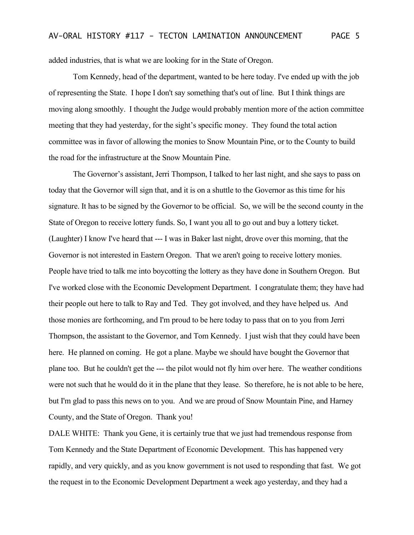added industries, that is what we are looking for in the State of Oregon.

Tom Kennedy, head of the department, wanted to be here today. I've ended up with the job of representing the State. I hope I don't say something that's out of line. But I think things are moving along smoothly. I thought the Judge would probably mention more of the action committee meeting that they had yesterday, for the sight's specific money. They found the total action committee was in favor of allowing the monies to Snow Mountain Pine, or to the County to build the road for the infrastructure at the Snow Mountain Pine.

The Governor's assistant, Jerri Thompson, I talked to her last night, and she says to pass on today that the Governor will sign that, and it is on a shuttle to the Governor as this time for his signature. It has to be signed by the Governor to be official. So, we will be the second county in the State of Oregon to receive lottery funds. So, I want you all to go out and buy a lottery ticket. (Laughter) I know I've heard that --- I was in Baker last night, drove over this morning, that the Governor is not interested in Eastern Oregon. That we aren't going to receive lottery monies. People have tried to talk me into boycotting the lottery as they have done in Southern Oregon. But I've worked close with the Economic Development Department. I congratulate them; they have had their people out here to talk to Ray and Ted. They got involved, and they have helped us. And those monies are forthcoming, and I'm proud to be here today to pass that on to you from Jerri Thompson, the assistant to the Governor, and Tom Kennedy. I just wish that they could have been here. He planned on coming. He got a plane. Maybe we should have bought the Governor that plane too. But he couldn't get the --- the pilot would not fly him over here. The weather conditions were not such that he would do it in the plane that they lease. So therefore, he is not able to be here, but I'm glad to pass this news on to you. And we are proud of Snow Mountain Pine, and Harney County, and the State of Oregon. Thank you!

DALE WHITE: Thank you Gene, it is certainly true that we just had tremendous response from Tom Kennedy and the State Department of Economic Development. This has happened very rapidly, and very quickly, and as you know government is not used to responding that fast. We got the request in to the Economic Development Department a week ago yesterday, and they had a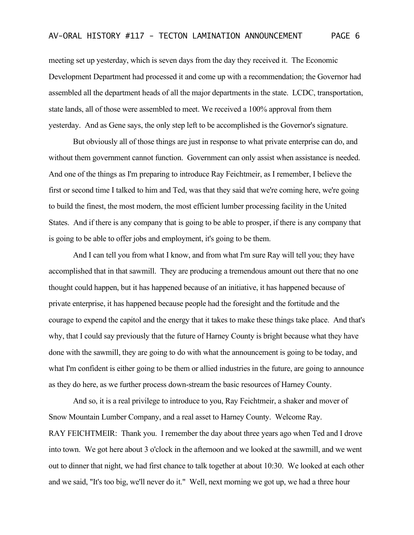meeting set up yesterday, which is seven days from the day they received it. The Economic Development Department had processed it and come up with a recommendation; the Governor had assembled all the department heads of all the major departments in the state. LCDC, transportation, state lands, all of those were assembled to meet. We received a 100% approval from them yesterday. And as Gene says, the only step left to be accomplished is the Governor's signature.

But obviously all of those things are just in response to what private enterprise can do, and without them government cannot function. Government can only assist when assistance is needed. And one of the things as I'm preparing to introduce Ray Feichtmeir, as I remember, I believe the first or second time I talked to him and Ted, was that they said that we're coming here, we're going to build the finest, the most modern, the most efficient lumber processing facility in the United States. And if there is any company that is going to be able to prosper, if there is any company that is going to be able to offer jobs and employment, it's going to be them.

And I can tell you from what I know, and from what I'm sure Ray will tell you; they have accomplished that in that sawmill. They are producing a tremendous amount out there that no one thought could happen, but it has happened because of an initiative, it has happened because of private enterprise, it has happened because people had the foresight and the fortitude and the courage to expend the capitol and the energy that it takes to make these things take place. And that's why, that I could say previously that the future of Harney County is bright because what they have done with the sawmill, they are going to do with what the announcement is going to be today, and what I'm confident is either going to be them or allied industries in the future, are going to announce as they do here, as we further process down-stream the basic resources of Harney County.

And so, it is a real privilege to introduce to you, Ray Feichtmeir, a shaker and mover of Snow Mountain Lumber Company, and a real asset to Harney County. Welcome Ray. RAY FEICHTMEIR: Thank you. I remember the day about three years ago when Ted and I drove into town. We got here about 3 o'clock in the afternoon and we looked at the sawmill, and we went out to dinner that night, we had first chance to talk together at about 10:30. We looked at each other and we said, "It's too big, we'll never do it." Well, next morning we got up, we had a three hour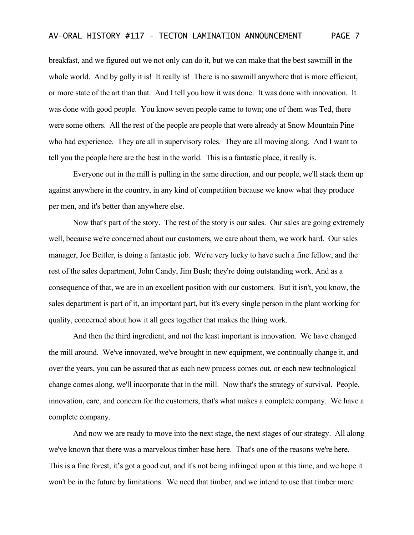breakfast, and we figured out we not only can do it, but we can make that the best sawmill in the whole world. And by golly it is! It really is! There is no sawmill anywhere that is more efficient, or more state of the art than that. And I tell you how it was done. It was done with innovation. It was done with good people. You know seven people came to town; one of them was Ted, there were some others. All the rest of the people are people that were already at Snow Mountain Pine who had experience. They are all in supervisory roles. They are all moving along. And I want to tell you the people here are the best in the world. This is a fantastic place, it really is.

Everyone out in the mill is pulling in the same direction, and our people, we'll stack them up against anywhere in the country, in any kind of competition because we know what they produce per men, and it's better than anywhere else.

Now that's part of the story. The rest of the story is our sales. Our sales are going extremely well, because we're concerned about our customers, we care about them, we work hard. Our sales manager, Joe Beitler, is doing a fantastic job. We're very lucky to have such a fine fellow, and the rest of the sales department, John Candy, Jim Bush; they're doing outstanding work. And as a consequence of that, we are in an excellent position with our customers. But it isn't, you know, the sales department is part of it, an important part, but it's every single person in the plant working for quality, concerned about how it all goes together that makes the thing work.

And then the third ingredient, and not the least important is innovation. We have changed the mill around. We've innovated, we've brought in new equipment, we continually change it, and over the years, you can be assured that as each new process comes out, or each new technological change comes along, we'll incorporate that in the mill. Now that's the strategy of survival. People, innovation, care, and concern for the customers, that's what makes a complete company. We have a complete company.

And now we are ready to move into the next stage, the next stages of our strategy. All along we've known that there was a marvelous timber base here. That's one of the reasons we're here. This is a fine forest, it's got a good cut, and it's not being infringed upon at this time, and we hope it won't be in the future by limitations. We need that timber, and we intend to use that timber more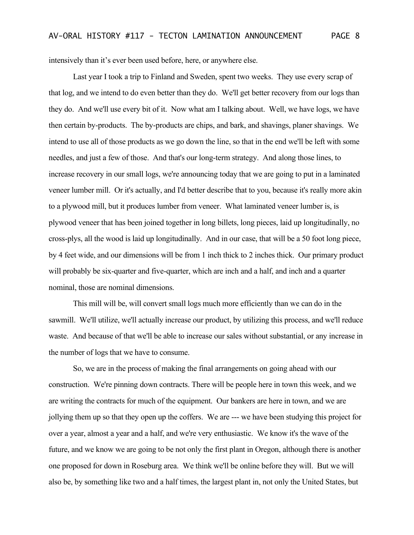intensively than it's ever been used before, here, or anywhere else.

Last year I took a trip to Finland and Sweden, spent two weeks. They use every scrap of that log, and we intend to do even better than they do. We'll get better recovery from our logs than they do. And we'll use every bit of it. Now what am I talking about. Well, we have logs, we have then certain by-products. The by-products are chips, and bark, and shavings, planer shavings. We intend to use all of those products as we go down the line, so that in the end we'll be left with some needles, and just a few of those. And that's our long-term strategy. And along those lines, to increase recovery in our small logs, we're announcing today that we are going to put in a laminated veneer lumber mill. Or it's actually, and I'd better describe that to you, because it's really more akin to a plywood mill, but it produces lumber from veneer. What laminated veneer lumber is, is plywood veneer that has been joined together in long billets, long pieces, laid up longitudinally, no cross-plys, all the wood is laid up longitudinally. And in our case, that will be a 50 foot long piece, by 4 feet wide, and our dimensions will be from 1 inch thick to 2 inches thick. Our primary product will probably be six-quarter and five-quarter, which are inch and a half, and inch and a quarter nominal, those are nominal dimensions.

This mill will be, will convert small logs much more efficiently than we can do in the sawmill. We'll utilize, we'll actually increase our product, by utilizing this process, and we'll reduce waste. And because of that we'll be able to increase our sales without substantial, or any increase in the number of logs that we have to consume.

So, we are in the process of making the final arrangements on going ahead with our construction. We're pinning down contracts. There will be people here in town this week, and we are writing the contracts for much of the equipment. Our bankers are here in town, and we are jollying them up so that they open up the coffers. We are --- we have been studying this project for over a year, almost a year and a half, and we're very enthusiastic. We know it's the wave of the future, and we know we are going to be not only the first plant in Oregon, although there is another one proposed for down in Roseburg area. We think we'll be online before they will. But we will also be, by something like two and a half times, the largest plant in, not only the United States, but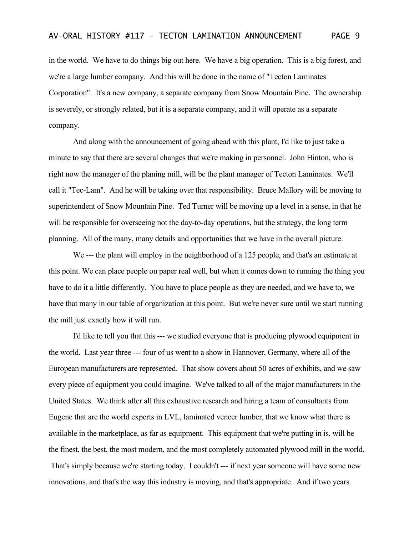in the world. We have to do things big out here. We have a big operation. This is a big forest, and we're a large lumber company. And this will be done in the name of "Tecton Laminates Corporation". It's a new company, a separate company from Snow Mountain Pine. The ownership is severely, or strongly related, but it is a separate company, and it will operate as a separate company.

And along with the announcement of going ahead with this plant, I'd like to just take a minute to say that there are several changes that we're making in personnel. John Hinton, who is right now the manager of the planing mill, will be the plant manager of Tecton Laminates. We'll call it "Tec-Lam". And he will be taking over that responsibility. Bruce Mallory will be moving to superintendent of Snow Mountain Pine. Ted Turner will be moving up a level in a sense, in that he will be responsible for overseeing not the day-to-day operations, but the strategy, the long term planning. All of the many, many details and opportunities that we have in the overall picture.

We --- the plant will employ in the neighborhood of a 125 people, and that's an estimate at this point. We can place people on paper real well, but when it comes down to running the thing you have to do it a little differently. You have to place people as they are needed, and we have to, we have that many in our table of organization at this point. But we're never sure until we start running the mill just exactly how it will run.

I'd like to tell you that this --- we studied everyone that is producing plywood equipment in the world. Last year three --- four of us went to a show in Hannover, Germany, where all of the European manufacturers are represented. That show covers about 50 acres of exhibits, and we saw every piece of equipment you could imagine. We've talked to all of the major manufacturers in the United States. We think after all this exhaustive research and hiring a team of consultants from Eugene that are the world experts in LVL, laminated veneer lumber, that we know what there is available in the marketplace, as far as equipment. This equipment that we're putting in is, will be the finest, the best, the most modern, and the most completely automated plywood mill in the world. That's simply because we're starting today. I couldn't --- if next year someone will have some new innovations, and that's the way this industry is moving, and that's appropriate. And if two years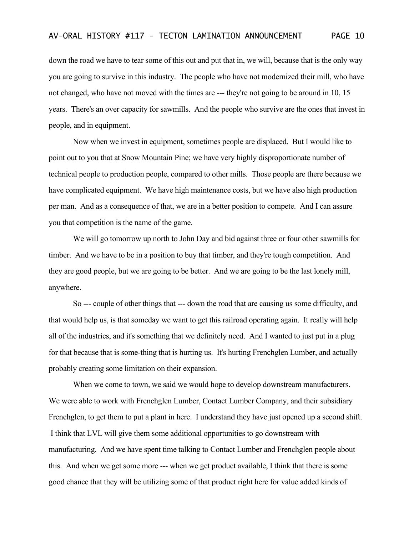down the road we have to tear some of this out and put that in, we will, because that is the only way you are going to survive in this industry. The people who have not modernized their mill, who have not changed, who have not moved with the times are --- they're not going to be around in 10, 15 years. There's an over capacity for sawmills. And the people who survive are the ones that invest in people, and in equipment.

Now when we invest in equipment, sometimes people are displaced. But I would like to point out to you that at Snow Mountain Pine; we have very highly disproportionate number of technical people to production people, compared to other mills. Those people are there because we have complicated equipment. We have high maintenance costs, but we have also high production per man. And as a consequence of that, we are in a better position to compete. And I can assure you that competition is the name of the game.

We will go tomorrow up north to John Day and bid against three or four other sawmills for timber. And we have to be in a position to buy that timber, and they're tough competition. And they are good people, but we are going to be better. And we are going to be the last lonely mill, anywhere.

So --- couple of other things that --- down the road that are causing us some difficulty, and that would help us, is that someday we want to get this railroad operating again. It really will help all of the industries, and it's something that we definitely need. And I wanted to just put in a plug for that because that is some-thing that is hurting us. It's hurting Frenchglen Lumber, and actually probably creating some limitation on their expansion.

When we come to town, we said we would hope to develop downstream manufacturers. We were able to work with Frenchglen Lumber, Contact Lumber Company, and their subsidiary Frenchglen, to get them to put a plant in here. I understand they have just opened up a second shift. I think that LVL will give them some additional opportunities to go downstream with manufacturing. And we have spent time talking to Contact Lumber and Frenchglen people about this. And when we get some more --- when we get product available, I think that there is some good chance that they will be utilizing some of that product right here for value added kinds of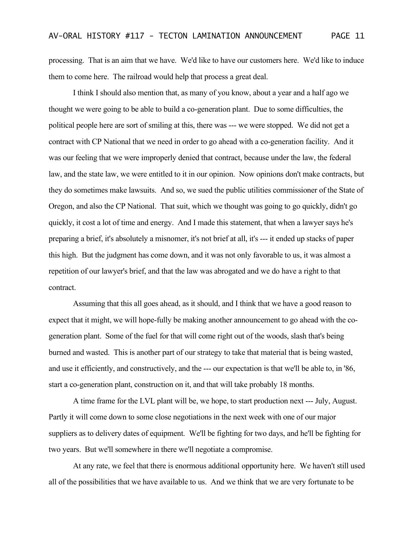processing. That is an aim that we have. We'd like to have our customers here. We'd like to induce them to come here. The railroad would help that process a great deal.

I think I should also mention that, as many of you know, about a year and a half ago we thought we were going to be able to build a co-generation plant. Due to some difficulties, the political people here are sort of smiling at this, there was --- we were stopped. We did not get a contract with CP National that we need in order to go ahead with a co-generation facility. And it was our feeling that we were improperly denied that contract, because under the law, the federal law, and the state law, we were entitled to it in our opinion. Now opinions don't make contracts, but they do sometimes make lawsuits. And so, we sued the public utilities commissioner of the State of Oregon, and also the CP National. That suit, which we thought was going to go quickly, didn't go quickly, it cost a lot of time and energy. And I made this statement, that when a lawyer says he's preparing a brief, it's absolutely a misnomer, it's not brief at all, it's --- it ended up stacks of paper this high. But the judgment has come down, and it was not only favorable to us, it was almost a repetition of our lawyer's brief, and that the law was abrogated and we do have a right to that contract.

Assuming that this all goes ahead, as it should, and I think that we have a good reason to expect that it might, we will hope-fully be making another announcement to go ahead with the cogeneration plant. Some of the fuel for that will come right out of the woods, slash that's being burned and wasted. This is another part of our strategy to take that material that is being wasted, and use it efficiently, and constructively, and the --- our expectation is that we'll be able to, in '86, start a co-generation plant, construction on it, and that will take probably 18 months.

A time frame for the LVL plant will be, we hope, to start production next --- July, August. Partly it will come down to some close negotiations in the next week with one of our major suppliers as to delivery dates of equipment. We'll be fighting for two days, and he'll be fighting for two years. But we'll somewhere in there we'll negotiate a compromise.

At any rate, we feel that there is enormous additional opportunity here. We haven't still used all of the possibilities that we have available to us. And we think that we are very fortunate to be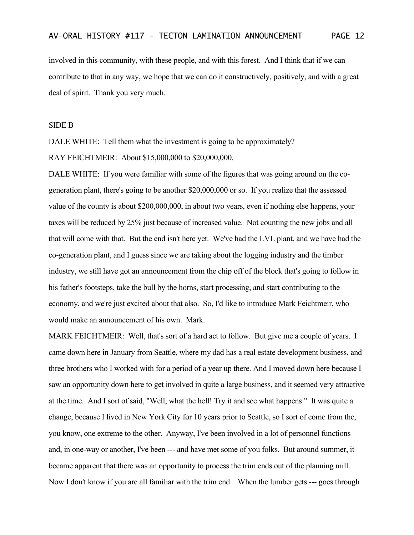involved in this community, with these people, and with this forest. And I think that if we can contribute to that in any way, we hope that we can do it constructively, positively, and with a great deal of spirit. Thank you very much.

## SIDE B

DALE WHITE: Tell them what the investment is going to be approximately? RAY FEICHTMEIR: About \$15,000,000 to \$20,000,000.

DALE WHITE: If you were familiar with some of the figures that was going around on the cogeneration plant, there's going to be another \$20,000,000 or so. If you realize that the assessed value of the county is about \$200,000,000, in about two years, even if nothing else happens, your taxes will be reduced by 25% just because of increased value. Not counting the new jobs and all that will come with that. But the end isn't here yet. We've had the LVL plant, and we have had the co-generation plant, and I guess since we are taking about the logging industry and the timber industry, we still have got an announcement from the chip off of the block that's going to follow in his father's footsteps, take the bull by the horns, start processing, and start contributing to the economy, and we're just excited about that also. So, I'd like to introduce Mark Feichtmeir, who would make an announcement of his own. Mark.

MARK FEICHTMEIR: Well, that's sort of a hard act to follow. But give me a couple of years. I came down here in January from Seattle, where my dad has a real estate development business, and three brothers who I worked with for a period of a year up there. And I moved down here because I saw an opportunity down here to get involved in quite a large business, and it seemed very attractive at the time. And I sort of said, "Well, what the hell! Try it and see what happens." It was quite a change, because I lived in New York City for 10 years prior to Seattle, so I sort of come from the, you know, one extreme to the other. Anyway, I've been involved in a lot of personnel functions and, in one-way or another, I've been --- and have met some of you folks. But around summer, it became apparent that there was an opportunity to process the trim ends out of the planning mill. Now I don't know if you are all familiar with the trim end. When the lumber gets --- goes through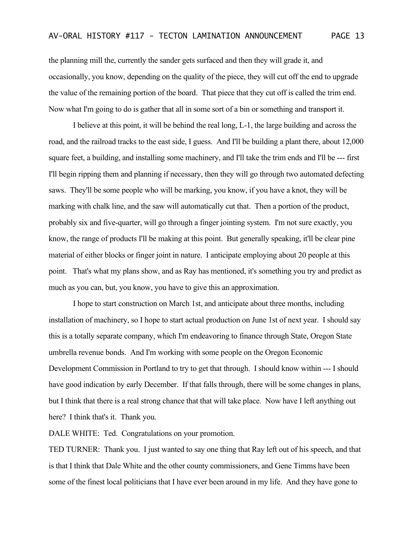the planning mill the, currently the sander gets surfaced and then they will grade it, and occasionally, you know, depending on the quality of the piece, they will cut off the end to upgrade the value of the remaining portion of the board. That piece that they cut off is called the trim end. Now what I'm going to do is gather that all in some sort of a bin or something and transport it.

I believe at this point, it will be behind the real long, L-1, the large building and across the road, and the railroad tracks to the east side, I guess. And I'll be building a plant there, about 12,000 square feet, a building, and installing some machinery, and I'll take the trim ends and I'll be --- first I'll begin ripping them and planning if necessary, then they will go through two automated defecting saws. They'll be some people who will be marking, you know, if you have a knot, they will be marking with chalk line, and the saw will automatically cut that. Then a portion of the product, probably six and five-quarter, will go through a finger jointing system. I'm not sure exactly, you know, the range of products I'll be making at this point. But generally speaking, it'll be clear pine material of either blocks or finger joint in nature. I anticipate employing about 20 people at this point. That's what my plans show, and as Ray has mentioned, it's something you try and predict as much as you can, but, you know, you have to give this an approximation.

I hope to start construction on March 1st, and anticipate about three months, including installation of machinery, so I hope to start actual production on June 1st of next year. I should say this is a totally separate company, which I'm endeavoring to finance through State, Oregon State umbrella revenue bonds. And I'm working with some people on the Oregon Economic Development Commission in Portland to try to get that through. I should know within --- I should have good indication by early December. If that falls through, there will be some changes in plans, but I think that there is a real strong chance that that will take place. Now have I left anything out here? I think that's it. Thank you.

DALE WHITE: Ted. Congratulations on your promotion.

TED TURNER: Thank you. I just wanted to say one thing that Ray left out of his speech, and that is that I think that Dale White and the other county commissioners, and Gene Timms have been some of the finest local politicians that I have ever been around in my life. And they have gone to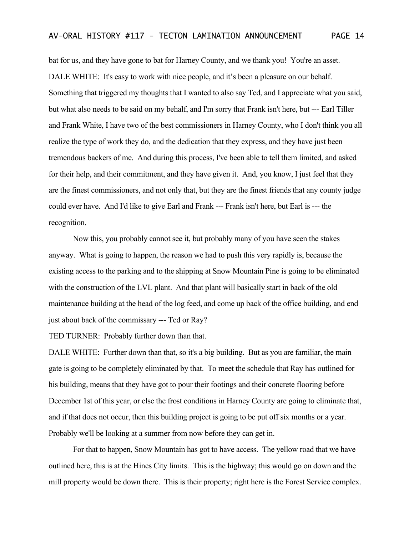bat for us, and they have gone to bat for Harney County, and we thank you! You're an asset. DALE WHITE: It's easy to work with nice people, and it's been a pleasure on our behalf. Something that triggered my thoughts that I wanted to also say Ted, and I appreciate what you said, but what also needs to be said on my behalf, and I'm sorry that Frank isn't here, but --- Earl Tiller and Frank White, I have two of the best commissioners in Harney County, who I don't think you all realize the type of work they do, and the dedication that they express, and they have just been tremendous backers of me. And during this process, I've been able to tell them limited, and asked for their help, and their commitment, and they have given it. And, you know, I just feel that they are the finest commissioners, and not only that, but they are the finest friends that any county judge could ever have. And I'd like to give Earl and Frank --- Frank isn't here, but Earl is --- the recognition.

Now this, you probably cannot see it, but probably many of you have seen the stakes anyway. What is going to happen, the reason we had to push this very rapidly is, because the existing access to the parking and to the shipping at Snow Mountain Pine is going to be eliminated with the construction of the LVL plant. And that plant will basically start in back of the old maintenance building at the head of the log feed, and come up back of the office building, and end just about back of the commissary --- Ted or Ray?

TED TURNER: Probably further down than that.

DALE WHITE: Further down than that, so it's a big building. But as you are familiar, the main gate is going to be completely eliminated by that. To meet the schedule that Ray has outlined for his building, means that they have got to pour their footings and their concrete flooring before December 1st of this year, or else the frost conditions in Harney County are going to eliminate that, and if that does not occur, then this building project is going to be put off six months or a year. Probably we'll be looking at a summer from now before they can get in.

For that to happen, Snow Mountain has got to have access. The yellow road that we have outlined here, this is at the Hines City limits. This is the highway; this would go on down and the mill property would be down there. This is their property; right here is the Forest Service complex.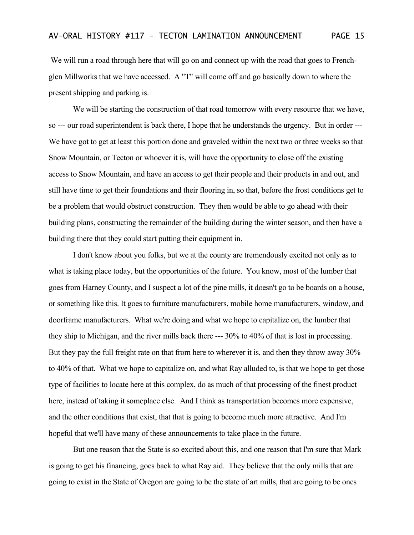We will run a road through here that will go on and connect up with the road that goes to Frenchglen Millworks that we have accessed. A "T" will come off and go basically down to where the present shipping and parking is.

We will be starting the construction of that road tomorrow with every resource that we have, so --- our road superintendent is back there, I hope that he understands the urgency. But in order --- We have got to get at least this portion done and graveled within the next two or three weeks so that Snow Mountain, or Tecton or whoever it is, will have the opportunity to close off the existing access to Snow Mountain, and have an access to get their people and their products in and out, and still have time to get their foundations and their flooring in, so that, before the frost conditions get to be a problem that would obstruct construction. They then would be able to go ahead with their building plans, constructing the remainder of the building during the winter season, and then have a building there that they could start putting their equipment in.

I don't know about you folks, but we at the county are tremendously excited not only as to what is taking place today, but the opportunities of the future. You know, most of the lumber that goes from Harney County, and I suspect a lot of the pine mills, it doesn't go to be boards on a house, or something like this. It goes to furniture manufacturers, mobile home manufacturers, window, and doorframe manufacturers. What we're doing and what we hope to capitalize on, the lumber that they ship to Michigan, and the river mills back there --- 30% to 40% of that is lost in processing. But they pay the full freight rate on that from here to wherever it is, and then they throw away 30% to 40% of that. What we hope to capitalize on, and what Ray alluded to, is that we hope to get those type of facilities to locate here at this complex, do as much of that processing of the finest product here, instead of taking it someplace else. And I think as transportation becomes more expensive, and the other conditions that exist, that that is going to become much more attractive. And I'm hopeful that we'll have many of these announcements to take place in the future.

But one reason that the State is so excited about this, and one reason that I'm sure that Mark is going to get his financing, goes back to what Ray aid. They believe that the only mills that are going to exist in the State of Oregon are going to be the state of art mills, that are going to be ones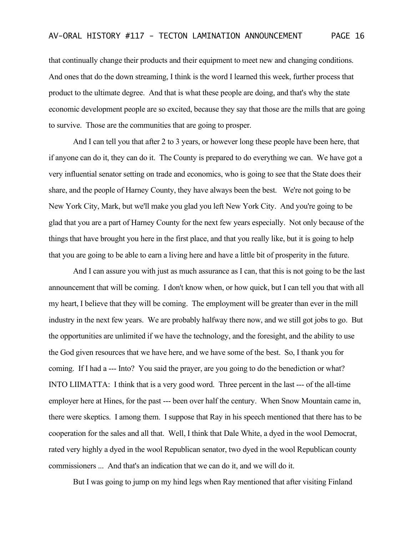that continually change their products and their equipment to meet new and changing conditions. And ones that do the down streaming, I think is the word I learned this week, further process that product to the ultimate degree. And that is what these people are doing, and that's why the state economic development people are so excited, because they say that those are the mills that are going to survive. Those are the communities that are going to prosper.

And I can tell you that after 2 to 3 years, or however long these people have been here, that if anyone can do it, they can do it. The County is prepared to do everything we can. We have got a very influential senator setting on trade and economics, who is going to see that the State does their share, and the people of Harney County, they have always been the best. We're not going to be New York City, Mark, but we'll make you glad you left New York City. And you're going to be glad that you are a part of Harney County for the next few years especially. Not only because of the things that have brought you here in the first place, and that you really like, but it is going to help that you are going to be able to earn a living here and have a little bit of prosperity in the future.

And I can assure you with just as much assurance as I can, that this is not going to be the last announcement that will be coming. I don't know when, or how quick, but I can tell you that with all my heart, I believe that they will be coming. The employment will be greater than ever in the mill industry in the next few years. We are probably halfway there now, and we still got jobs to go. But the opportunities are unlimited if we have the technology, and the foresight, and the ability to use the God given resources that we have here, and we have some of the best. So, I thank you for coming. If I had a --- Into? You said the prayer, are you going to do the benediction or what? INTO LIIMATTA: I think that is a very good word. Three percent in the last --- of the all-time employer here at Hines, for the past --- been over half the century. When Snow Mountain came in, there were skeptics. I among them. I suppose that Ray in his speech mentioned that there has to be cooperation for the sales and all that. Well, I think that Dale White, a dyed in the wool Democrat, rated very highly a dyed in the wool Republican senator, two dyed in the wool Republican county commissioners ... And that's an indication that we can do it, and we will do it.

But I was going to jump on my hind legs when Ray mentioned that after visiting Finland